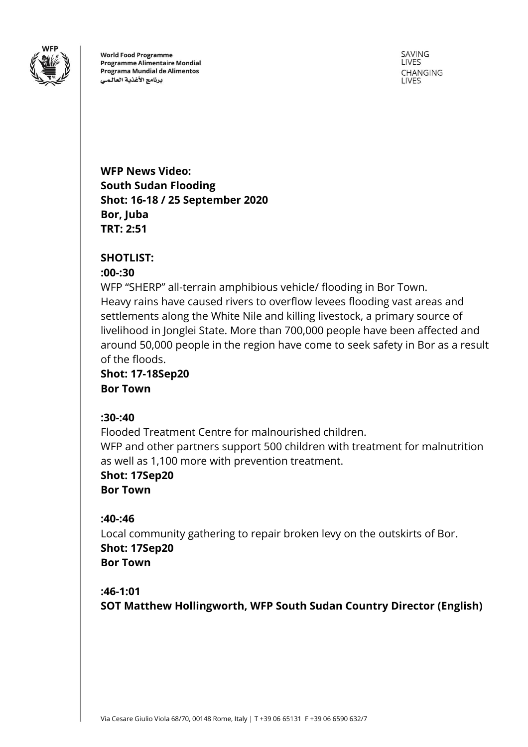

**World Food Programme Programme Alimentaire Mondial** Programa Mundial de Alimentos برنامج الأغذية العالمى

SAVING LIVES **CHANGING LIVES** 

**WFP News Video: South Sudan Flooding Shot: 16-18 / 25 September 2020 Bor, Juba TRT: 2:51**

## **SHOTLIST:**

## **:00-:30**

WFP "SHERP" all-terrain amphibious vehicle/ flooding in Bor Town. Heavy rains have caused rivers to overflow levees flooding vast areas and settlements along the White Nile and killing livestock, a primary source of livelihood in Jonglei State. More than 700,000 people have been affected and around 50,000 people in the region have come to seek safety in Bor as a result of the floods.

**Shot: 17-18Sep20 Bor Town**

## **:30-:40**

Flooded Treatment Centre for malnourished children. WFP and other partners support 500 children with treatment for malnutrition as well as 1,100 more with prevention treatment.

**Shot: 17Sep20 Bor Town**

## **:40-:46**

Local community gathering to repair broken levy on the outskirts of Bor. **Shot: 17Sep20 Bor Town**

## **:46-1:01**

**SOT Matthew Hollingworth, WFP South Sudan Country Director (English)**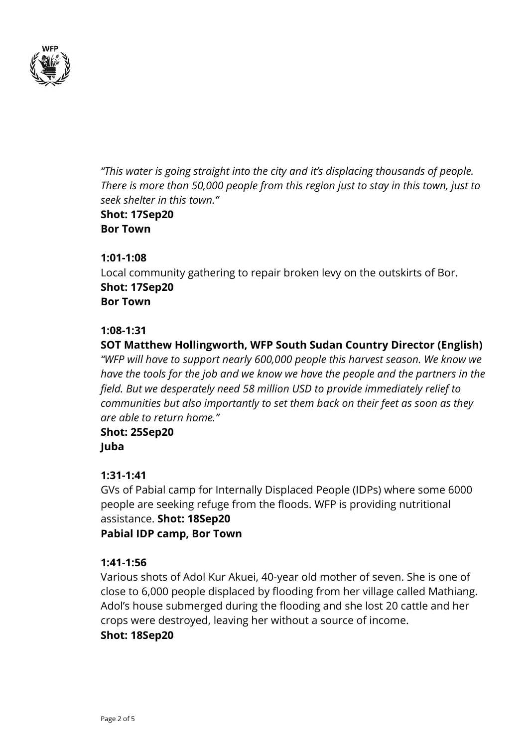

*"This water is going straight into the city and it's displacing thousands of people. There is more than 50,000 people from this region just to stay in this town, just to seek shelter in this town."* **Shot: 17Sep20**

**Bor Town**

## **1:01-1:08**

Local community gathering to repair broken levy on the outskirts of Bor. **Shot: 17Sep20 Bor Town**

### **1:08-1:31**

## **SOT Matthew Hollingworth, WFP South Sudan Country Director (English)**

*"WFP will have to support nearly 600,000 people this harvest season. We know we have the tools for the job and we know we have the people and the partners in the field. But we desperately need 58 million USD to provide immediately relief to communities but also importantly to set them back on their feet as soon as they are able to return home."*

# **Shot: 25Sep20**

**Juba**

## **1:31-1:41**

GVs of Pabial camp for Internally Displaced People (IDPs) where some 6000 people are seeking refuge from the floods. WFP is providing nutritional assistance. **Shot: 18Sep20 Pabial IDP camp, Bor Town**

## **1:41-1:56**

Various shots of Adol Kur Akuei, 40-year old mother of seven. She is one of close to 6,000 people displaced by flooding from her village called Mathiang. Adol's house submerged during the flooding and she lost 20 cattle and her crops were destroyed, leaving her without a source of income.

#### **Shot: 18Sep20**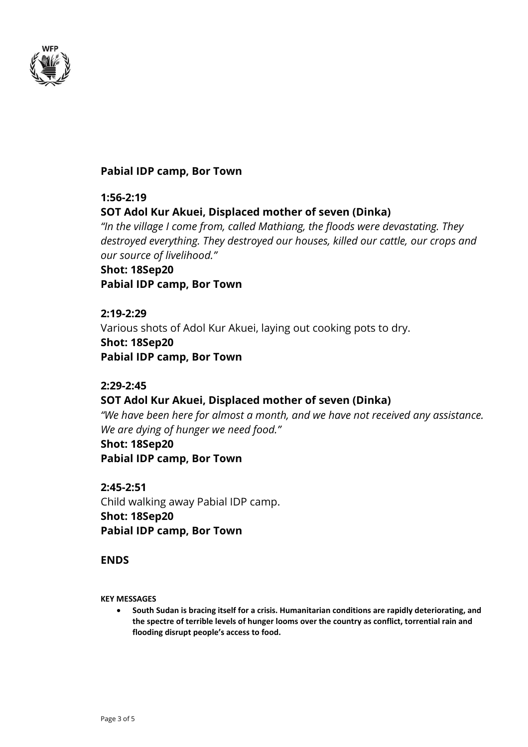

### **Pabial IDP camp, Bor Town**

## **1:56-2:19 SOT Adol Kur Akuei, Displaced mother of seven (Dinka)**

*"In the village I come from, called Mathiang, the floods were devastating. They destroyed everything. They destroyed our houses, killed our cattle, our crops and our source of livelihood."*

## **Shot: 18Sep20 Pabial IDP camp, Bor Town**

## **2:19-2:29**

Various shots of Adol Kur Akuei, laying out cooking pots to dry.

## **Shot: 18Sep20 Pabial IDP camp, Bor Town**

## **2:29-2:45**

## **SOT Adol Kur Akuei, Displaced mother of seven (Dinka)**

*"We have been here for almost a month, and we have not received any assistance. We are dying of hunger we need food."*

## **Shot: 18Sep20 Pabial IDP camp, Bor Town**

**2:45-2:51** Child walking away Pabial IDP camp. **Shot: 18Sep20 Pabial IDP camp, Bor Town**

## **ENDS**

**KEY MESSAGES**

• **South Sudan is bracing itself for a crisis. Humanitarian conditions are rapidly deteriorating, and the spectre of terrible levels of hunger looms over the country as conflict, torrential rain and flooding disrupt people's access to food.**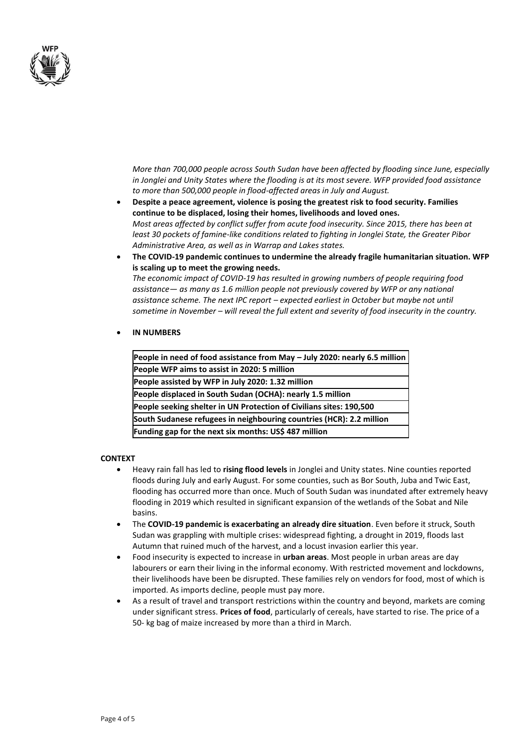

*More than 700,000 people across South Sudan have been affected by flooding since June, especially in Jonglei and Unity States where the flooding is at its most severe. WFP provided food assistance to more than 500,000 people in flood-affected areas in July and August.*

- **Despite a peace agreement, violence is posing the greatest risk to food security. Families continue to be displaced, losing their homes, livelihoods and loved ones.** *Most areas affected by conflict suffer from acute food insecurity. Since 2015, there has been at least 30 pockets of famine-like conditions related to fighting in Jonglei State, the Greater Pibor Administrative Area, as well as in Warrap and Lakes states.*
- **The COVID-19 pandemic continues to undermine the already fragile humanitarian situation. WFP is scaling up to meet the growing needs.**

*The economic impact of COVID-19 has resulted in growing numbers of people requiring food assistance— as many as 1.6 million people not previously covered by WFP or any national assistance scheme. The next IPC report – expected earliest in October but maybe not until sometime in November – will reveal the full extent and severity of food insecurity in the country.*

#### • **IN NUMBERS**

| People in need of food assistance from May - July 2020: nearly 6.5 million |
|----------------------------------------------------------------------------|
| People WFP aims to assist in 2020: 5 million                               |
| People assisted by WFP in July 2020: 1.32 million                          |
| People displaced in South Sudan (OCHA): nearly 1.5 million                 |
| People seeking shelter in UN Protection of Civilians sites: 190,500        |
| South Sudanese refugees in neighbouring countries (HCR): 2.2 million       |
| Funding gap for the next six months: US\$ 487 million                      |

#### **CONTEXT**

- Heavy rain fall has led to **rising flood levels** in Jonglei and Unity states. Nine counties reported floods during July and early August. For some counties, such as Bor South, Juba and Twic East, flooding has occurred more than once. Much of South Sudan was inundated after extremely heavy flooding in 2019 which resulted in significant expansion of the wetlands of the Sobat and Nile basins.
- The **COVID-19 pandemic is exacerbating an already dire situation**. Even before it struck, South Sudan was grappling with multiple crises: widespread fighting, a drought in 2019, floods last Autumn that ruined much of the harvest, and a locust invasion earlier this year.
- Food insecurity is expected to increase in **urban areas**. Most people in urban areas are day labourers or earn their living in the informal economy. With restricted movement and lockdowns, their livelihoods have been be disrupted. These families rely on vendors for food, most of which is imported. As imports decline, people must pay more.
- As a result of travel and transport restrictions within the country and beyond, markets are coming under significant stress. **Prices of food**, particularly of cereals, have started to rise. The price of a 50- kg bag of maize increased by more than a third in March.